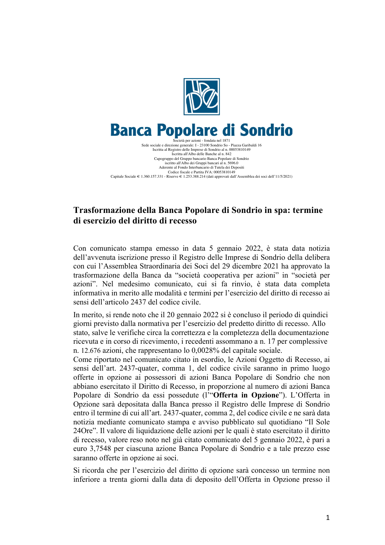

## **Banca Popolare di Sondrio** Società per azioni - fondata nel 1871

Sede sociale e direzione generale: I - 23100 Sondrio So - Piazza Garibaldi 16 Iscritta al Registro delle Imprese di Sondrio al n. 00053810149 Iscritta all'Albo delle Banche al n. 842 Capogruppo del Gruppo bancario Banca Popolare di Sondrio iscritto all'Albo dei Gruppi bancari al n. 5696.0 Aderente al Fondo Interbancario di Tutela dei Depositi Codice fiscale e Partita IVA: 00053810149 Capitale Sociale € 1.360.157.331 - Riserve € 1.253.388.214 (dati approvati dall'Assemblea dei soci dell'11/5/2021)

# **Trasformazione della Banca Popolare di Sondrio in spa: termine di esercizio del diritto di recesso**

Con comunicato stampa emesso in data 5 gennaio 2022, è stata data notizia dell'avvenuta iscrizione presso il Registro delle Imprese di Sondrio della delibera con cui l'Assemblea Straordinaria dei Soci del 29 dicembre 2021 ha approvato la trasformazione della Banca da "società cooperativa per azioni" in "società per azioni". Nel medesimo comunicato, cui si fa rinvio, è stata data completa informativa in merito alle modalità e termini per l'esercizio del diritto di recesso ai sensi dell'articolo 2437 del codice civile.

In merito, si rende noto che il 20 gennaio 2022 si è concluso il periodo di quindici giorni previsto dalla normativa per l'esercizio del predetto diritto di recesso. Allo stato, salve le verifiche circa la correttezza e la completezza della documentazione ricevuta e in corso di ricevimento, i recedenti assommano a n. 17 per complessive n. 12.676 azioni, che rappresentano lo 0,0028% del capitale sociale.

Come riportato nel comunicato citato in esordio, le Azioni Oggetto di Recesso, ai sensi dell'art. 2437-quater, comma 1, del codice civile saranno in primo luogo offerte in opzione ai possessori di azioni Banca Popolare di Sondrio che non abbiano esercitato il Diritto di Recesso, in proporzione al numero di azioni Banca Popolare di Sondrio da essi possedute (l'"**Offerta in Opzione**"). L'Offerta in Opzione sarà depositata dalla Banca presso il Registro delle Imprese di Sondrio entro il termine di cui all'art. 2437-quater, comma 2, del codice civile e ne sarà data notizia mediante comunicato stampa e avviso pubblicato sul quotidiano "Il Sole 24Ore". Il valore di liquidazione delle azioni per le quali è stato esercitato il diritto di recesso, valore reso noto nel già citato comunicato del 5 gennaio 2022, è pari a euro 3,7548 per ciascuna azione Banca Popolare di Sondrio e a tale prezzo esse saranno offerte in opzione ai soci.

Si ricorda che per l'esercizio del diritto di opzione sarà concesso un termine non inferiore a trenta giorni dalla data di deposito dell'Offerta in Opzione presso il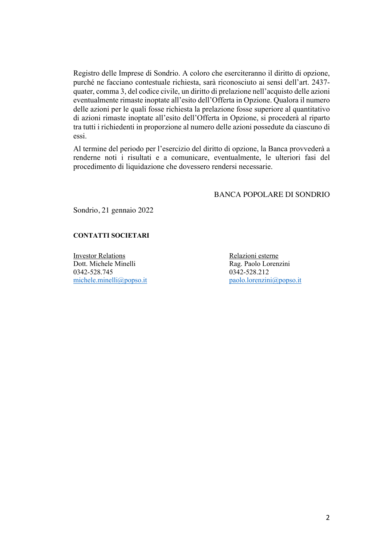Registro delle Imprese di Sondrio. A coloro che eserciteranno il diritto di opzione, purché ne facciano contestuale richiesta, sarà riconosciuto ai sensi dell'art. 2437 quater, comma 3, del codice civile, un diritto di prelazione nell'acquisto delle azioni eventualmente rimaste inoptate all'esito dell'Offerta in Opzione. Qualora il numero delle azioni per le quali fosse richiesta la prelazione fosse superiore al quantitativo di azioni rimaste inoptate all'esito dell'Offerta in Opzione, si procederà al riparto tra tutti i richiedenti in proporzione al numero delle azioni possedute da ciascuno di essi.

Al termine del periodo per l'esercizio del diritto di opzione, la Banca provvederà a renderne noti i risultati e a comunicare, eventualmente, le ulteriori fasi del procedimento di liquidazione che dovessero rendersi necessarie.

## BANCA POPOLARE DI SONDRIO

Sondrio, 21 gennaio 2022

## **CONTATTI SOCIETARI**

Investor Relations Relazioni esterne Dott. Michele Minelli Rag. Paolo Lorenzini 0342-528.745 0342-528.212

michele.minelli@popso.it paolo.lorenzini@popso.it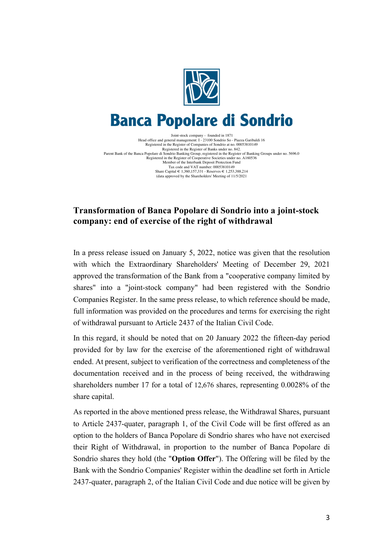

# **Banca Popolare di Sondrio**

Joint-stock company - founded in 1871 Head office and general management: I - 23100 Sondrio So - Piazza Garibaldi 16 Registered in the Register of Companies of Sondrio at no. 00053810149<br>Registered in the Register of Banks under no. 842.<br>Parent Bank of the Banca Popolare di Sondrio Banking Circup, registered in the Register of Banking Gr Member of the Interbank Deposit Protection Fund Tax code and VAT number: 00053810149 Share Capital € 1,360,157,331 - Reserves € 1,253,388,214 (data approved by the Shareholders' Meeting of 11/5/2021

## **Transformation of Banca Popolare di Sondrio into a joint-stock company: end of exercise of the right of withdrawal**

In a press release issued on January 5, 2022, notice was given that the resolution with which the Extraordinary Shareholders' Meeting of December 29, 2021 approved the transformation of the Bank from a "cooperative company limited by shares" into a "joint-stock company" had been registered with the Sondrio Companies Register. In the same press release, to which reference should be made, full information was provided on the procedures and terms for exercising the right of withdrawal pursuant to Article 2437 of the Italian Civil Code.

In this regard, it should be noted that on 20 January 2022 the fifteen-day period provided for by law for the exercise of the aforementioned right of withdrawal ended. At present, subject to verification of the correctness and completeness of the documentation received and in the process of being received, the withdrawing shareholders number 17 for a total of 12,676 shares, representing 0.0028% of the share capital.

As reported in the above mentioned press release, the Withdrawal Shares, pursuant to Article 2437-quater, paragraph 1, of the Civil Code will be first offered as an option to the holders of Banca Popolare di Sondrio shares who have not exercised their Right of Withdrawal, in proportion to the number of Banca Popolare di Sondrio shares they hold (the "**Option Offer**"). The Offering will be filed by the Bank with the Sondrio Companies' Register within the deadline set forth in Article 2437-quater, paragraph 2, of the Italian Civil Code and due notice will be given by